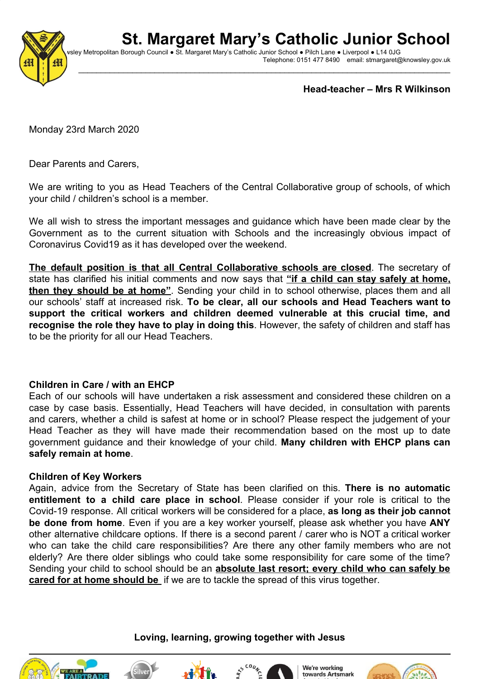# **St. Margaret Mary's Catholic Junior School**



vsley Metropolitan Borough Council ● St. Margaret Mary's Catholic Junior School ● Pilch Lane ● Liverpool ● L14 0JG Telephone: 0151 477 8490 email: stmargaret@knowsley.gov.uk

 $\_$  ,  $\_$  ,  $\_$  ,  $\_$  ,  $\_$  ,  $\_$  ,  $\_$  ,  $\_$  ,  $\_$  ,  $\_$  ,  $\_$  ,  $\_$  ,  $\_$  ,  $\_$  ,  $\_$  ,  $\_$  ,  $\_$  ,  $\_$  ,  $\_$  ,  $\_$  ,  $\_$  ,  $\_$  ,  $\_$  ,  $\_$  ,  $\_$  ,  $\_$  ,  $\_$  ,  $\_$  ,  $\_$  ,  $\_$  ,  $\_$  ,  $\_$  ,  $\_$  ,  $\_$  ,  $\_$  ,  $\_$  ,  $\_$  ,

**Head-teacher – Mrs R Wilkinson**

Monday 23rd March 2020

Dear Parents and Carers,

We are writing to you as Head Teachers of the Central Collaborative group of schools, of which your child / children's school is a member.

We all wish to stress the important messages and guidance which have been made clear by the Government as to the current situation with Schools and the increasingly obvious impact of Coronavirus Covid19 as it has developed over the weekend.

**The default position is that all Central Collaborative schools are closed**. The secretary of state has clarified his initial comments and now says that **"if a child can stay safely at home, then they should be at home"**. Sending your child in to school otherwise, places them and all our schools' staff at increased risk. **To be clear, all our schools and Head Teachers want to support the critical workers and children deemed vulnerable at this crucial time, and recognise the role they have to play in doing this**. However, the safety of children and staff has to be the priority for all our Head Teachers.

## **Children in Care / with an EHCP**

Each of our schools will have undertaken a risk assessment and considered these children on a case by case basis. Essentially, Head Teachers will have decided, in consultation with parents and carers, whether a child is safest at home or in school? Please respect the judgement of your Head Teacher as they will have made their recommendation based on the most up to date government guidance and their knowledge of your child. **Many children with EHCP plans can safely remain at home**.

#### **Children of Key Workers**

Again, advice from the Secretary of State has been clarified on this. **There is no automatic entitlement to a child care place in school**. Please consider if your role is critical to the Covid-19 response. All critical workers will be considered for a place, **as long as their job cannot be done from home**. Even if you are a key worker yourself, please ask whether you have **ANY** other alternative childcare options. If there is a second parent / carer who is NOT a critical worker who can take the child care responsibilities? Are there any other family members who are not elderly? Are there older siblings who could take some responsibility for care some of the time? Sending your child to school should be an **absolute last resort; every child who can safely be cared for at home should be** if we are to tackle the spread of this virus together.

## **Loving, learning, growing together with Jesus**









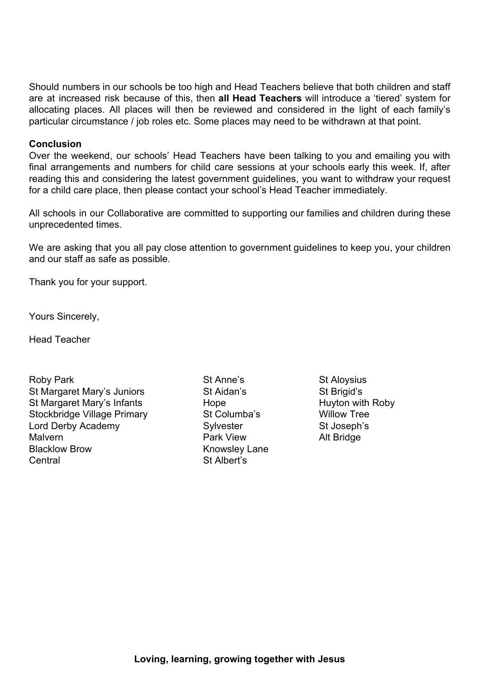Should numbers in our schools be too high and Head Teachers believe that both children and staff are at increased risk because of this, then **all Head Teachers** will introduce a 'tiered' system for allocating places. All places will then be reviewed and considered in the light of each family's particular circumstance / job roles etc. Some places may need to be withdrawn at that point.

#### **Conclusion**

Over the weekend, our schools' Head Teachers have been talking to you and emailing you with final arrangements and numbers for child care sessions at your schools early this week. If, after reading this and considering the latest government guidelines, you want to withdraw your request for a child care place, then please contact your school's Head Teacher immediately.

All schools in our Collaborative are committed to supporting our families and children during these unprecedented times.

We are asking that you all pay close attention to government guidelines to keep you, your children and our staff as safe as possible.

Thank you for your support.

Yours Sincerely,

Head Teacher

Roby Park **State Anne's** St Anne's St Aloysius St Margaret Mary's Juniors St Aidan's St Brigid's St Margaret Mary's Infants **Hope** Hope Huyton with Roby Stockbridge Village Primary St Columba's Willow Tree Lord Derby Academy Sylvester Sylvester St Joseph's Malvern **Park View** Park View Alt Bridge Blacklow Brow **Knowsley Lane** Central St Albert's